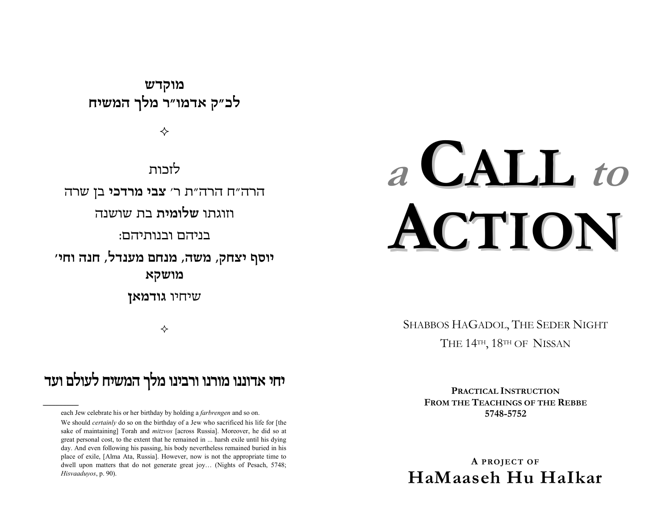מוקדש לכ"ק אדמו"ר מלך המשיח

✧

לזכות

הרה״ח הרה״ת ר׳ **צבי מרדכי** בן שרה

וזוגתו **שלומית** בת שושנה

בניהם ובנותיהם:

יוסף יצחק, משה, מנחם מענדל, חנה וחי׳ מושקא

שיחיו גודמאן

✧

## יחי אדוננו מורנו ורבינו מלך המשיח לעולם ועד

each Jew celebrate his or her birthday by holding a farbrengen and so on.

We should *certainly* do so on the birthday of a Jew who sacrificed his life for [the sake of maintaining] Torah and *mitzvos* [across Russia]. Moreover, he did so at great personal cost, to the extent that he remained in ... harsh exile until his dying day. And even following his passing, his body nevertheless remained buried in his place of exile, [Alma Ata, Russia]. However, now is not the appropriate time to dwell upon matters that do not generate great joy... (Nights of Pesach, 5748; Hisvaaduyos, p. 90).

# a CALL to ACTION

SHABBOS HAGADOL, THE SEDER NIGHT THE 14TH, 18TH OF NISSAN

> PRACTICAL INSTRUCTION **FROM THE TEACHINGS OF THE REBBE** 5748-5752

A PROJECT OF HaMaaseh Hu Halkar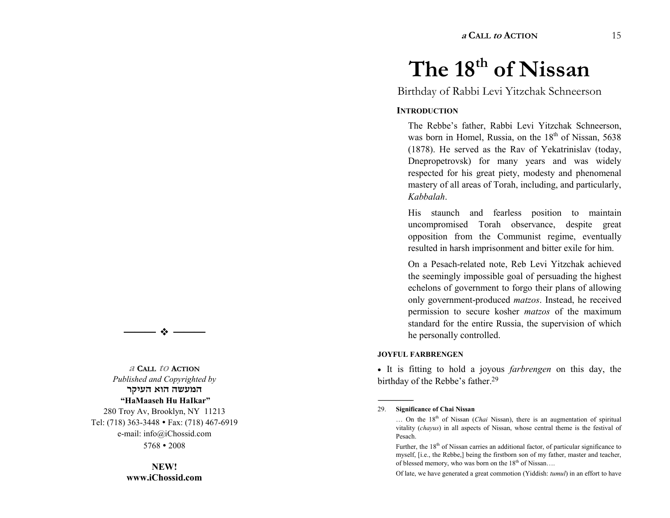**<sup>a</sup> CALL to ACTION** 15

## $\longrightarrow$   $\bullet$   $\longrightarrow$

**<sup>a</sup> CALL to ACTION** *Published and Copyrighted by*  המעשה הוא העיקר  **HaMaaseh Hu HaIkar**  280 Troy Av, Brooklyn, NY 11213 Tel: (718) 363-3448 � Fax: (718) 467-6919 e-mail: info@iChossid.com 5768 � 2008

> **NEW! www.iChossid.com**

# The 18<sup>th</sup> of Nissan

Birthday of Rabbi Levi Yitzchak Schneerson

#### **INTRODUCTION**

The Rebbe's father, Rabbi Levi Yitzchak Schneerson, was born in Homel, Russia, on the  $18<sup>th</sup>$  of Nissan, 5638 (1878). He served as the Rav of Yekatrinislav (today, Dnepropetrovsk) for many years and was widely respected for his great piety, modesty and phenomenal mastery of all areas of Torah, including, and particularly, *Kabbalah*.

His staunch and fearless position to maintain uncompromised Torah observance, despite great opposition from the Communist regime, eventually resulted in harsh imprisonment and bitter exile for him.

On a Pesach-related note, Reb Levi Yitzchak achieved the seemingly impossible goal of persuading the highest echelons of government to forgo their plans of allowing only government-produced *matzos*. Instead, he received permission to secure kosher *matzos* of the maximum standard for the entire Russia, the supervision of which he personally controlled.

#### **JOYFUL FARBRENGEN**

� It is fitting to hold a joyous *farbrengen* on this day, the birthday of the Rebbe's father.<sup>29</sup>

#### 29. **Significance of Chai Nissan**

------------------------------------------------

Of late, we have generated a great commotion (Yiddish: *tumul*) in an effort to have

<sup>...</sup> On the 18<sup>th</sup> of Nissan (*Chai* Nissan), there is an augmentation of spiritual vitality (*chayus*) in all aspects of Nissan, whose central theme is the festival of Pesach.

Further, the  $18<sup>th</sup>$  of Nissan carries an additional factor, of particular significance to myself, [i.e., the Rebbe,] being the firstborn son of my father, master and teacher, of blessed memory, who was born on the  $18<sup>th</sup>$  of Nissan....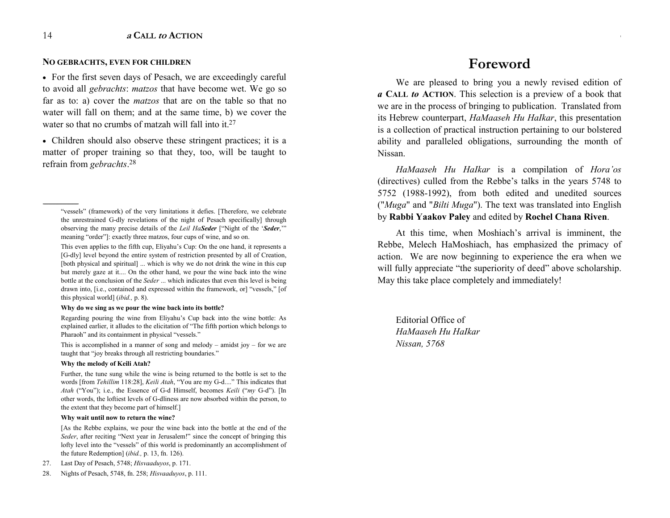#### **NO GEBRACHTS, EVEN FOR CHILDREN**

• For the first seven days of Pesach, we are exceedingly careful to avoid all *gebrachts*: *matzos* that have become wet. We go so far as to: a) cover the *matzos* that are on the table so that no water will fall on them; and at the same time, b) we cover the water so that no crumbs of matzah will fall into it.<sup>27</sup>

• Children should also observe these stringent practices; it is a matter of proper training so that they, too, will be taught to refrain from *gebrachts*. 28

#### **Why do we sing as we pour the wine back into its bottle?**

Regarding pouring the wine from Eliyahu's Cup back into the wine bottle: As explained earlier, it alludes to the elicitation of "The fifth portion which belongs to Pharaoh" and its containment in physical "vessels."

This is accomplished in a manner of song and melody  $-$  amidst joy  $-$  for we are taught that "joy breaks through all restricting boundaries."

#### **Why the melody of Keili Atah?**

Further, the tune sung while the wine is being returned to the bottle is set to the words [from *Tehillim* 118:28], *Keili Atah*, "You are my G-d...." This indicates that *Atah* ("You"); i.e., the Essence of G-d Himself, becomes *Keili* ("*my* G-d"). [In other words, the loftiest levels of G-dliness are now absorbed within the person, to the extent that they become part of himself.]

#### **Why wait until now to return the wine?**

[As the Rebbe explains, we pour the wine back into the bottle at the end of the *Seder*, after reciting "Next year in Jerusalem!" since the concept of bringing this lofty level into the "vessels" of this world is predominantly an accomplishment of the future Redemption] (*ibid.,* p. 13, fn. 126).

- 27. Last Day of Pesach, 5748; *Hisvaaduyos*, p. 171.
- 28. Nights of Pesach, 5748, fn. 258; *Hisvaaduyos*, p. 111.

### **Foreword**

**<sup>a</sup> CALL to ACTION** 3

We are pleased to bring you a newly revised edition of *a* **CALL** *to* **ACTION**. This selection is a preview of a book that we are in the process of bringing to publication. Translated from its Hebrew counterpart, *HaMaaseh Hu HaIkar*, this presentation is a collection of practical instruction pertaining to our bolstered ability and paralleled obligations, surrounding the month of Nissan.

*HaMaaseh Hu HaIkar* is a compilation of *Hora'os* (directives) culled from the Rebbe's talks in the years 5748 to 5752 (1988-1992), from both edited and unedited sources ("*Muga*" and "*Bilti Muga*"). The text was translated into English by **Rabbi Yaakov Paley** and edited by **Rochel Chana Riven**.

At this time, when Moshiach's arrival is imminent, the Rebbe, Melech HaMoshiach, has emphasized the primacy of action. We are now beginning to experience the era when we will fully appreciate "the superiority of deed" above scholarship. May this take place completely and immediately!

Editorial Office of *HaMaaseh Hu HaIkar Nissan, 5768*

<sup>------------------------------------------------</sup>  "vessels" (framework) of the very limitations it defies. [Therefore, we celebrate the unrestrained G-dly revelations of the night of Pesach specifically] through observing the many precise details of the *Leil HaSeder* ["Night of the 'Seder," meaning "order"]: exactly three matzos, four cups of wine, and so on.

This even applies to the fifth cup, Eliyahu's Cup: On the one hand, it represents a [G-dly] level beyond the entire system of restriction presented by all of Creation, [both physical and spiritual] ... which is why we do not drink the wine in this cup but merely gaze at it.... On the other hand, we pour the wine back into the wine bottle at the conclusion of the *Seder* ... which indicates that even this level is being drawn into, [i.e., contained and expressed within the framework, or] "vessels," [of this physical world] (*ibid.,* p. 8).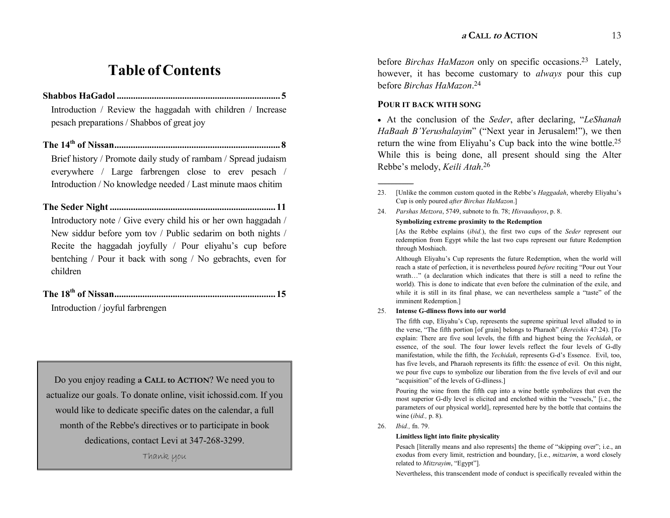## **Table of Contents**

**Shabbos HaGadol ...................................................................... 5**

Introduction / Review the haggadah with children / Increase pesach preparations / Shabbos of great joy

**The 14th of Nissan....................................................................... 8** Brief history / Promote daily study of rambam / Spread judaism everywhere / Large farbrengen close to erev pesach / Introduction / No knowledge needed / Last minute maos chitim

**The Seder Night ....................................................................... 11** Introductory note / Give every child his or her own haggadah / New siddur before yom tov / Public sedarim on both nights / Recite the haggadah joyfully  $\ell$  Pour eliyahu's cup before bentching / Pour it back with song / No gebrachts, even for children

**The 18th of Nissan..................................................................... 15** Introduction / joyful farbrengen

Do you enjoy reading **a CALL to ACTION**? We need you to actualize our goals. To donate online, visit ichossid.com. If you would like to dedicate specific dates on the calendar, a full month of the Rebbe's directives or to participate in book dedications, contact Levi at 347-268-3299. Thank you

before *Birchas HaMazon* only on specific occasions.<sup>23</sup> Lately, however, it has become customary to *always* pour this cup before *Birchas HaMazon*. 24

#### **POUR IT BACK WITH SONG**

------------------------------------------------

• At the conclusion of the *Seder*, after declaring, "LeShanah *HaBaah B'Yerushalayim*" ("Next year in Jerusalem!"), we then return the wine from Eliyahu's Cup back into the wine bottle.<sup>25</sup> While this is being done, all present should sing the Alter Rebbe's melody, *Keili Atah*.<sup>26</sup>

#### **Symbolizing extreme proximity to the Redemption**

[As the Rebbe explains (*ibid.*), the first two cups of the *Seder* represent our redemption from Egypt while the last two cups represent our future Redemption through Moshiach.

Although Eliyahu's Cup represents the future Redemption, when the world will reach a state of perfection, it is nevertheless poured *before* reciting "Pour out Your wrath..." (a declaration which indicates that there is still a need to refine the world). This is done to indicate that even before the culmination of the exile, and while it is still in its final phase, we can nevertheless sample a "taste" of the imminent Redemption.]

#### 25. **Intense G-dliness flows into our world**

The fifth cup, Eliyahu's Cup, represents the supreme spiritual level alluded to in the verse, "The fifth portion [of grain] belongs to Pharaoh" (*Bereishis* 47:24). [To explain: There are five soul levels, the fifth and highest being the *Yechidah*, or essence, of the soul. The four lower levels reflect the four levels of G-dly manifestation, while the fifth, the *Yechidah*, represents G-d's Essence. Evil, too, has five levels, and Pharaoh represents its fifth: the essence of evil. On this night, we pour five cups to symbolize our liberation from the five levels of evil and our "acquisition" of the levels of G-dliness.]

Pouring the wine from the fifth cup into a wine bottle symbolizes that even the most superior G-dly level is elicited and enclothed within the "vessels," [i.e., the parameters of our physical world], represented here by the bottle that contains the wine (*ibid.,* p. 8).

26. *Ibid.,* fn. 79.

#### **Limitless light into finite physicality**

Pesach [literally means and also represents] the theme of "skipping over"; i.e., an exodus from every limit, restriction and boundary, [i.e., *mitzarim*, a word closely related to *Mitzrayim*, "Egypt"].

Nevertheless, this transcendent mode of conduct is specifically revealed within the

<sup>23. [</sup>Unlike the common custom quoted in the Rebbe's *Haggadah*, whereby Eliyahu's Cup is only poured *after Birchas HaMazon*.]

<sup>24.</sup> *Parshas Metzora*, 5749, subnote to fn. 78; *Hisvaaduyos*, p. 8.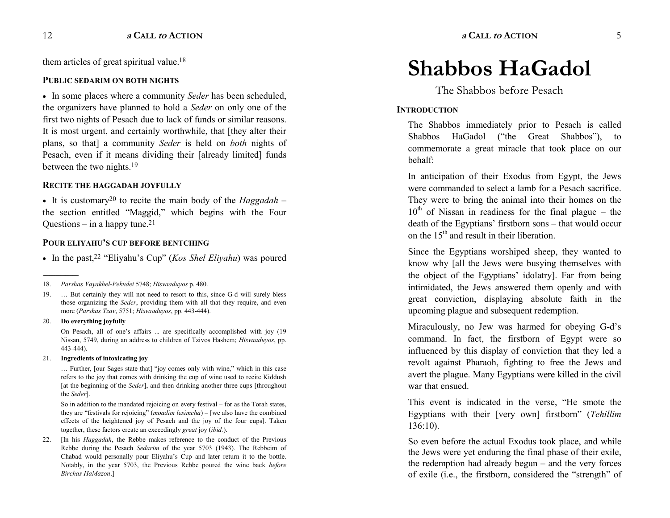them articles of great spiritual value.<sup>18</sup>

#### **PUBLIC SEDARIM ON BOTH NIGHTS**

� In some places where a community *Seder* has been scheduled, the organizers have planned to hold a *Seder* on only one of the first two nights of Pesach due to lack of funds or similar reasons. It is most urgent, and certainly worthwhile, that [they alter their plans, so that] a community *Seder* is held on *both* nights of Pesach, even if it means dividing their [already limited] funds between the two nights.19

#### **RECITE THE HAGGADAH JOYFULLY**

 $\bullet$  It is customary<sup>20</sup> to recite the main body of the *Haggadah* – the section entitled "Maggid," which begins with the Four Questions  $-$  in a happy tune.<sup>21</sup>

#### **POUR ELIYAHU'S CUP BEFORE BENTCHING**

• In the past,<sup>22</sup> "Eliyahu's Cup" (*Kos Shel Eliyahu*) was poured

#### 20. **Do everything joyfully**

------------------------------------------------

On Pesach, all of one's affairs ... are specifically accomplished with joy (19 Nissan, 5749, during an address to children of Tzivos Hashem; *Hisvaaduyos*, pp. 443-444).

#### 21. **Ingredients of intoxicating joy**

... Further, [our Sages state that] "joy comes only with wine," which in this case refers to the joy that comes with drinking the cup of wine used to recite Kiddush [at the beginning of the *Seder*], and then drinking another three cups [throughout the *Seder*].

So in addition to the mandated rejoicing on every festival  $-$  for as the Torah states, they are "festivals for rejoicing" (*moadim lesimcha*) – [we also have the combined effects of the heightened joy of Pesach and the joy of the four cups]. Taken together, these factors create an exceedingly *great* joy (*ibid.*).

22. [In his *Haggadah*, the Rebbe makes reference to the conduct of the Previous Rebbe during the Pesach *Sedarim* of the year 5703 (1943). The Rebbeim of Chabad would personally pour Eliyahu's Cup and later return it to the bottle. Notably, in the year 5703, the Previous Rebbe poured the wine back *before Birchas HaMazon*.]

# **Shabbos HaGadol**

The Shabbos before Pesach

#### **INTRODUCTION**

The Shabbos immediately prior to Pesach is called Shabbos HaGadol ("the Great Shabbos"), to commemorate a great miracle that took place on our behalf:

In anticipation of their Exodus from Egypt, the Jews were commanded to select a lamb for a Pesach sacrifice. They were to bring the animal into their homes on the  $10<sup>th</sup>$  of Nissan in readiness for the final plague – the death of the Egyptians' firstborn sons  $-$  that would occur on the  $15<sup>th</sup>$  and result in their liberation.

Since the Egyptians worshiped sheep, they wanted to know why [all the Jews were busying themselves with the object of the Egyptians' idolatry]. Far from being intimidated, the Jews answered them openly and with great conviction, displaying absolute faith in the upcoming plague and subsequent redemption.

Miraculously, no Jew was harmed for obeying G-d's command. In fact, the firstborn of Egypt were so influenced by this display of conviction that they led a revolt against Pharaoh, fighting to free the Jews and avert the plague. Many Egyptians were killed in the civil war that ensued.

This event is indicated in the verse, "He smote the Egyptians with their [very own] firstborn" (*Tehillim* 136:10).

So even before the actual Exodus took place, and while the Jews were yet enduring the final phase of their exile, the redemption had already begun  $-$  and the very forces of exile (i.e., the firstborn, considered the "strength" of

<sup>18.</sup> *Parshas Vayakhel-Pekudei* 5748; *Hisvaaduyos* p. 480.

<sup>19. ...</sup> But certainly they will not need to resort to this, since G-d will surely bless those organizing the *Seder*, providing them with all that they require, and even more (*Parshas Tzav*, 5751; *Hisvaaduyos*, pp. 443-444).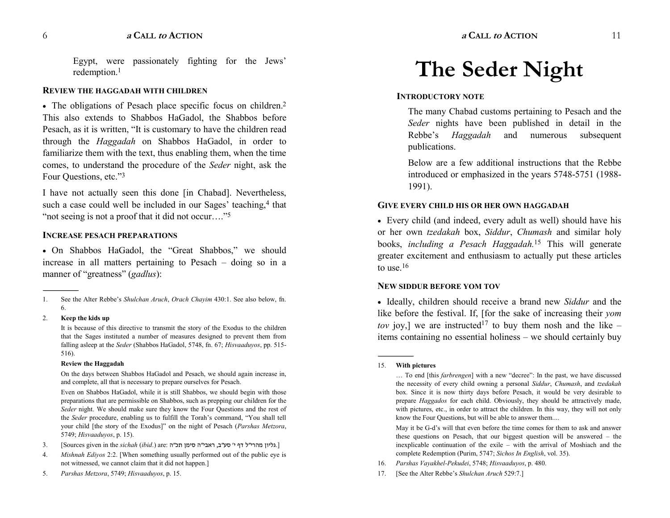Egypt, were passionately fighting for the Jews redemption.<sup>1</sup>

#### **REVIEW THE HAGGADAH WITH CHILDREN**

• The obligations of Pesach place specific focus on children.<sup>2</sup> This also extends to Shabbos HaGadol, the Shabbos before Pesach, as it is written, "It is customary to have the children read through the *Haggadah* on Shabbos HaGadol, in order to familiarize them with the text, thus enabling them, when the time comes, to understand the procedure of the *Seder* night, ask the Four Ouestions, etc."3

I have not actually seen this done [in Chabad]. Nevertheless, such a case could well be included in our Sages' teaching,<sup>4</sup> that "not seeing is not a proof that it did not occur...."<sup>5</sup>

#### **INCREASE PESACH PREPARATIONS**

• On Shabbos HaGadol, the "Great Shabbos," we should increase in all matters pertaining to Pesach  $-$  doing so in a manner of "greatness" (*gadlus*):

#### 2. **Keep the kids up**

------------------------------------------------

It is because of this directive to transmit the story of the Exodus to the children that the Sages instituted a number of measures designed to prevent them from falling asleep at the *Seder* (Shabbos HaGadol, 5748, fn. 67; *Hisvaaduyos*, pp. 515- 516).

#### **Review the Haggadah**

On the days between Shabbos HaGadol and Pesach, we should again increase in, and complete, all that is necessary to prepare ourselves for Pesach.

Even on Shabbos HaGadol, while it is still Shabbos, we should begin with those preparations that are permissible on Shabbos, such as prepping our children for the *Seder* night. We should make sure they know the Four Questions and the rest of the *Seder* procedure, enabling us to fulfill the Torah's command, "You shall tell your child [the story of the Exodus]" on the night of Pesach (*Parshas Metzora*, 5749; *Hisvaaduyos*, p. 15).

- 3. [Sources given in the *sichah (ibid.*) are: גליון מהרי"ל דף י' סע"ב, ראבי"ה סימן תכ"ה.
- 4. *Mishnah Ediyos* 2:2. [When something usually performed out of the public eye is not witnessed, we cannot claim that it did not happen.]
- 5. *Parshas Metzora*, 5749; *Hisvaaduyos*, p. 15.

## **The Seder Night**

#### **INTRODUCTORY NOTE**

The many Chabad customs pertaining to Pesach and the *Seder* nights have been published in detail in the Rebbe's *Haggadah* and numerous subsequent publications.

Below are a few additional instructions that the Rebbe introduced or emphasized in the years 5748-5751 (1988- 1991).

#### **GIVE EVERY CHILD HIS OR HER OWN HAGGADAH**

• Every child (and indeed, every adult as well) should have his or her own *tzedakah* box, *Siddur*, *Chumash* and similar holy books, *including a Pesach Haggadah.*15 This will generate greater excitement and enthusiasm to actually put these articles to use. $16$ 

#### **NEW SIDDUR BEFORE YOM TOV**

� Ideally, children should receive a brand new *Siddur* and the like before the festival. If, [for the sake of increasing their *yom tov* joy,] we are instructed<sup>17</sup> to buy them nosh and the like  $$ items containing no essential holiness – we should certainly buy

------------------------------------------------

May it be G-d's will that even before the time comes for them to ask and answer these questions on Pesach, that our biggest question will be answered  $-$  the inexplicable continuation of the exile  $-$  with the arrival of Moshiach and the complete Redemption (Purim, 5747; *Sichos In English*, vol. 35).

- 16. *Parshas Vayakhel-Pekudei*, 5748; *Hisvaaduyos*, p. 480.
- 17. [See the Alter Rebbe's *Shulchan Aruch* 529:7.]

<sup>1.</sup> See the Alter Rebbe's *Shulchan Aruch*, *Orach Chayim* 430:1. See also below, fn. 6.

<sup>15.</sup> **With pictures**

<sup>...</sup> To end [this *farbrengen*] with a new "decree": In the past, we have discussed the necessity of every child owning a personal *Siddur*, *Chumash*, and *tzedakah* box. Since it is now thirty days before Pesach, it would be very desirable to prepare *Haggados* for each child. Obviously, they should be attractively made, with pictures, etc., in order to attract the children. In this way, they will not only know the Four Questions, but will be able to answer them....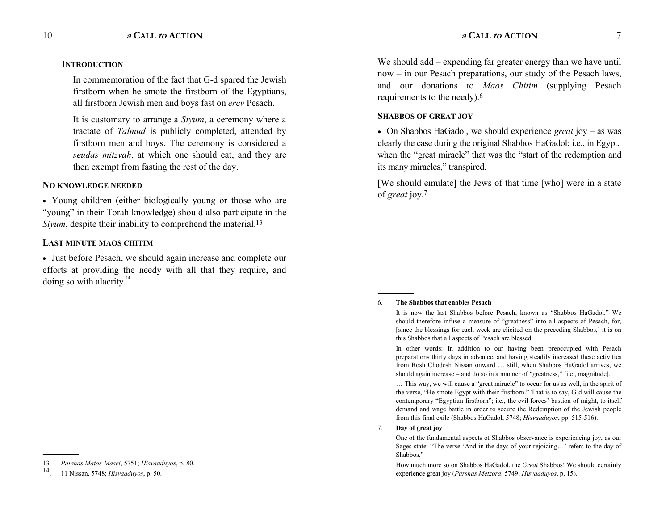#### **INTRODUCTION**

In commemoration of the fact that G-d spared the Jewish firstborn when he smote the firstborn of the Egyptians, all firstborn Jewish men and boys fast on *erev* Pesach.

It is customary to arrange a *Siyum*, a ceremony where a tractate of *Talmud* is publicly completed, attended by firstborn men and boys. The ceremony is considered a *seudas mitzvah*, at which one should eat, and they are then exempt from fasting the rest of the day.

#### **NO KNOWLEDGE NEEDED**

� Young children (either biologically young or those who are "young" in their Torah knowledge) should also participate in the *Siyum*, despite their inability to comprehend the material.<sup>13</sup>

#### **LAST MINUTE MAOS CHITIM**

� Just before Pesach, we should again increase and complete our efforts at providing the needy with all that they require, and doing so with alacrity. $14$ 

------------------------------------------------

We should add – expending far greater energy than we have until  $now - in our Pesach preparations, our study of the Pesach laws,$ and our donations to *Maos Chitim* (supplying Pesach requirements to the needy).6

#### **SHABBOS OF GREAT JOY**

• On Shabbos HaGadol, we should experience *great* joy – as was clearly the case during the original Shabbos HaGadol; i.e., in Egypt, when the "great miracle" that was the "start of the redemption and its many miracles," transpired.

[We should emulate] the Jews of that time [who] were in a state of *great* joy.7

#### 6. **The Shabbos that enables Pesach**

In other words: In addition to our having been preoccupied with Pesach preparations thirty days in advance, and having steadily increased these activities from Rosh Chodesh Nissan onward ... still, when Shabbos HaGadol arrives, we should again increase  $-$  and do so in a manner of "greatness," [i.e., magnitude].

... This way, we will cause a "great miracle" to occur for us as well, in the spirit of the verse, "He smote Egypt with their firstborn." That is to say, G-d will cause the contemporary "Egyptian firstborn"; i.e., the evil forces' bastion of might, to itself demand and wage battle in order to secure the Redemption of the Jewish people from this final exile (Shabbos HaGadol, 5748; *Hisvaaduyos*, pp. 515-516).

#### 7. **Day of great joy**

------------------------------------------------

One of the fundamental aspects of Shabbos observance is experiencing joy, as our Sages state: "The verse 'And in the days of your rejoicing...' refers to the day of Shabbos."

How much more so on Shabbos HaGadol, the *Great* Shabbos! We should certainly experience great joy (*Parshas Metzora*, 5749; *Hisvaaduyos*, p. 15).

<sup>13.</sup> *Parshas Matos-Masei*, 5751; *Hisvaaduyos*, p. 80.

<sup>14. 11</sup> Nissan, 5748; *Hisvaaduyos*, p. 50.

It is now the last Shabbos before Pesach, known as "Shabbos HaGadol." We should therefore infuse a measure of "greatness" into all aspects of Pesach, for, [since the blessings for each week are elicited on the preceding Shabbos,] it is on this Shabbos that all aspects of Pesach are blessed.